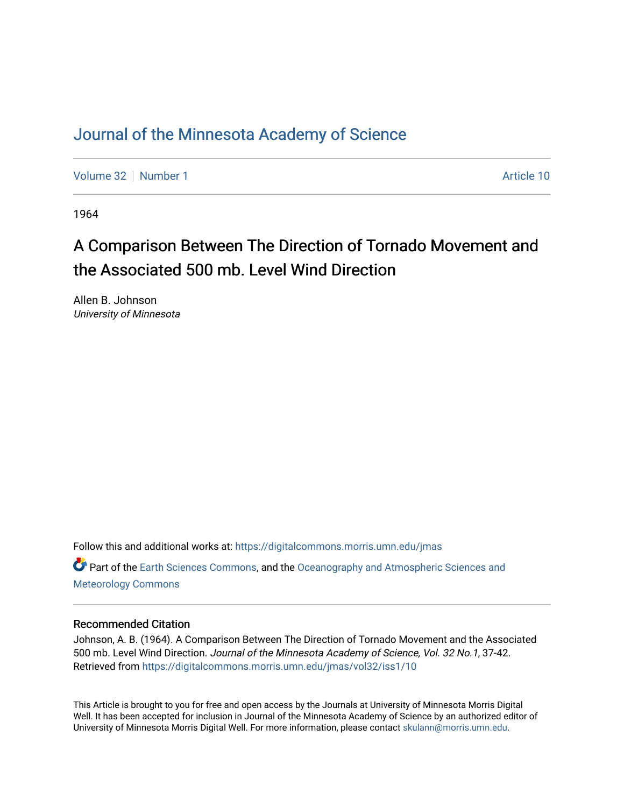# [Journal of the Minnesota Academy of Science](https://digitalcommons.morris.umn.edu/jmas)

[Volume 32](https://digitalcommons.morris.umn.edu/jmas/vol32) [Number 1](https://digitalcommons.morris.umn.edu/jmas/vol32/iss1) Article 10

1964

# A Comparison Between The Direction of Tornado Movement and the Associated 500 mb. Level Wind Direction

Allen B. Johnson University of Minnesota

Follow this and additional works at: [https://digitalcommons.morris.umn.edu/jmas](https://digitalcommons.morris.umn.edu/jmas?utm_source=digitalcommons.morris.umn.edu%2Fjmas%2Fvol32%2Fiss1%2F10&utm_medium=PDF&utm_campaign=PDFCoverPages)  Part of the [Earth Sciences Commons,](https://network.bepress.com/hgg/discipline/153?utm_source=digitalcommons.morris.umn.edu%2Fjmas%2Fvol32%2Fiss1%2F10&utm_medium=PDF&utm_campaign=PDFCoverPages) and the [Oceanography and Atmospheric Sciences and](https://network.bepress.com/hgg/discipline/186?utm_source=digitalcommons.morris.umn.edu%2Fjmas%2Fvol32%2Fiss1%2F10&utm_medium=PDF&utm_campaign=PDFCoverPages) [Meteorology Commons](https://network.bepress.com/hgg/discipline/186?utm_source=digitalcommons.morris.umn.edu%2Fjmas%2Fvol32%2Fiss1%2F10&utm_medium=PDF&utm_campaign=PDFCoverPages)

## Recommended Citation

Johnson, A. B. (1964). A Comparison Between The Direction of Tornado Movement and the Associated 500 mb. Level Wind Direction. Journal of the Minnesota Academy of Science, Vol. 32 No.1, 37-42. Retrieved from [https://digitalcommons.morris.umn.edu/jmas/vol32/iss1/10](https://digitalcommons.morris.umn.edu/jmas/vol32/iss1/10?utm_source=digitalcommons.morris.umn.edu%2Fjmas%2Fvol32%2Fiss1%2F10&utm_medium=PDF&utm_campaign=PDFCoverPages) 

This Article is brought to you for free and open access by the Journals at University of Minnesota Morris Digital Well. It has been accepted for inclusion in Journal of the Minnesota Academy of Science by an authorized editor of University of Minnesota Morris Digital Well. For more information, please contact [skulann@morris.umn.edu](mailto:skulann@morris.umn.edu).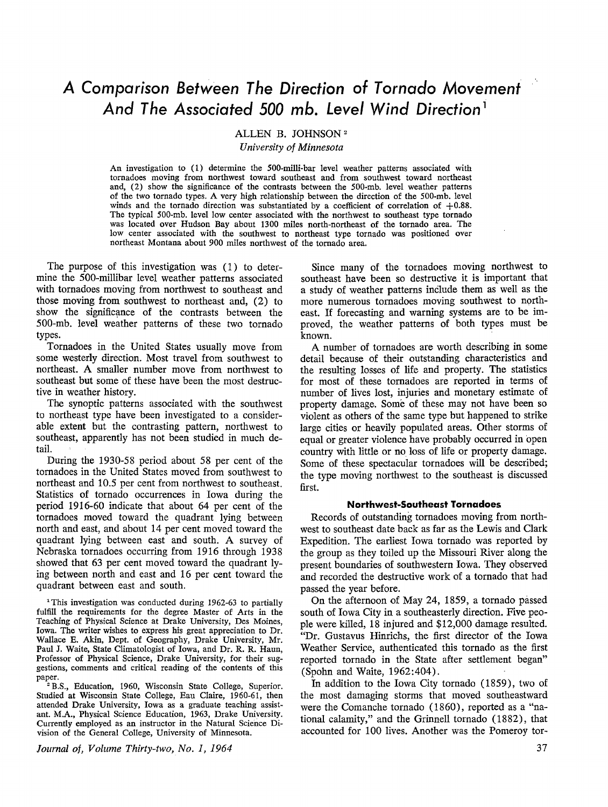# *A Comparison Between The Direction of Tornado Movement And The Associated 500 mb. Level Wind Direction* <sup>1</sup>

ALLEN B. JOHNSON <sup>2</sup>

*University of Minnesota* 

An investigation to (1) determine the 500-milli-bar level weather patterns associated with tornadoes moving from northwest toward southeast and from southwest toward northeast and, (2) show the significance of the contrasts between the 500-mb. level weather patterns of the two tornado types. A very high relationship between the direction of the 500-mb. level winds and the tornado direction was substantiated by a coefficient of correlation of  $+0.88$ . The typical 500-mb. level low center associated with the northwest to southeast type tornado was located over Hudson Bay about 1300 miles north-northeast of the tornado area. The low center associated with the southwest to northeast type tornado was positioned over northeast Montana about 900 miles northwest of the tornado area.

The purpose of this investigation was (1) to determine the 500-millibar level weather patterns associated with tornadoes moving from northwest to southeast and those moving from southwest to northeast and, (2) to show the significance of the contrasts between the 500-mb. level weather patterns of these two tornado types.

Tornadoes in the United States usually move from some westerly direction. Most travel from southwest to northeast. A smaller number move from northwest to southeast but some of these have been the most destructive in weather history.

The synoptic patterns associated with the southwest to northeast type have been investigated to a considerable extent but the contrasting pattern, northwest to southeast, apparently has not been studied in much detail.

During the 1930-58 period about 58 per cent of the tornadoes in the United States moved from southwest to northeast and 10.5 per cent from northwest to southeast. Statistics of tornado occurrences in Iowa during the period 1916-60 indicate that about 64 per cent of the tornadoes moved toward the quadrant lying between north and east, and about 14 per cent moved toward the quadrant lying between east and south. A survey of Nebraska tornadoes occurring from 1916 through 1938 showed that 63 per cent moved toward the quadrant lying between north and east and 16 per cent toward the quadrant between east and south.

<sup>1</sup>This investigation was conducted during 1962-63 to partially fulfill the requirements for the degree Master of Arts in the Teaching of Physical Science at Drake University, Des Moines, Iowa. The writer wishes to express his great appreciation to Dr. Wallace E. Akin, Dept. of Geography, Drake University, Mr. Paul J. Waite, State Climatologist of Iowa, and Dr. R. R. Haun, Professor of Physical Science, Drake University, for their suggestions, comments and critical reading of the contents of this paper.

<sup>2</sup> B.S., Education, 1960, Wisconsin State College, Superior. Studied at Wisconsin State College, Eau Claire, 1960-61, then attended Drake University, Iowa as a graduate teaching assistant. M.A., Physical Science Education, 1963, Drake University. Currently employed as an instructor in the Natural Science Division of the General College, University of Minnesota.

*Journal of, Volume Thirty-two, No. I, 1964* 

Since many of the tornadoes moving northwest to southeast have been so destructive it is important that a study of weather patterns include them as well as the more numerous tornadoes moving southwest to northeast. If forecasting and warning systems are to be improved, the weather patterns of both types must be known.

A number of tornadoes are worth describing in some detail because of their outstanding characteristics and the resulting losses of life and property. The statistics for most of these tornadoes are reported in terms of number of lives lost, injuries and monetary estimate of property damage. Some of these may not have been so violent as others of the same type but happened to strike large cities or heavily populated areas. Other storms of equal or greater violence have probably occurred in open country with little or no loss of life or property damage. Some of these spectacular tornadoes will be described; the type moving northwest to the southeast is discussed first.

#### **Northwest-Southeast Tornadoes**

Records of outstanding tornadoes moving from northwest to southeast date back as far as the Lewis and Clark Expedition. The earliest Iowa tornado was reported by the group as they toiled up the Missouri River along the present boundaries of southwestern Iowa. They observed and recorded the destructive work of a tornado that had passed the year before.

On the afternoon of May 24, 1859, a tornado passed south of Iowa City in a southeasterly direction. Five people were killed, 18 injured and \$12,000 damage resulted. "Dr. Gustavus Hinrichs, the first director of the Iowa Weather Service, authenticated this tornado as the first reported tornado in the State after settlement began" (Spohn and Waite, 1962:404).

In addition to the Iowa City tornado (1859), two of the most damaging storms that moved southeastward were the Comanche tornado (1860), reported as a "national calamity," and the Grinnell tornado (1882), that accounted for 100 lives. Another was the Pomeroy tor-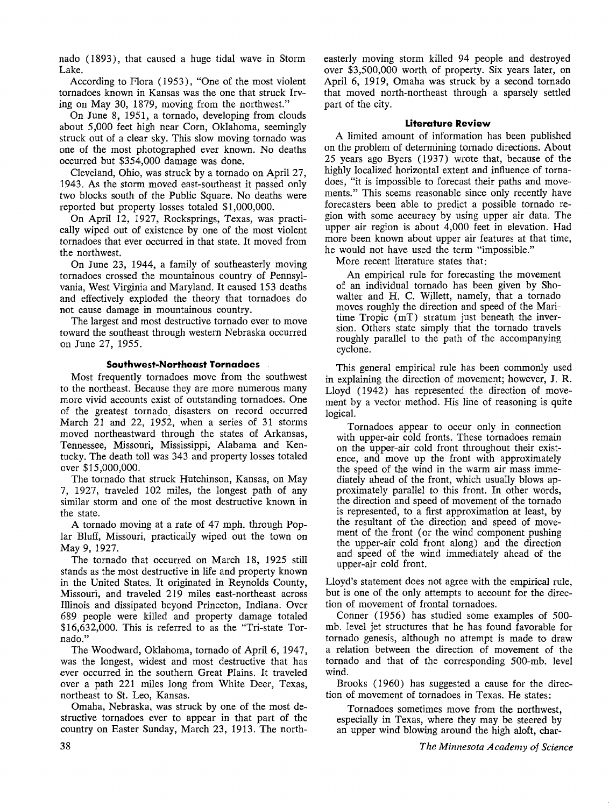nado ( 1893), that caused a huge tidal wave in Storm Lake.

According to Flora (1953), "One of the most violent tornadoes known in Kansas was the one that struck Irving on May 30, 1879, moving from the northwest."

On June 8, 1951, a tornado, developing from clouds about 5,000 feet high near Corn, Oklahoma, seemingly struck out of a clear sky. This slow moving tornado was one of the most photographed ever known. No deaths occurred but \$354,000 damage was done.

Cleveland, Ohio, was struck by a tornado on April 27, 1943. As the storm moved east-southeast it passed only two blocks south of the Public Square. No deaths were reported but property losses totaled \$1,000,000.

On April 12, 1927, Rocksprings, Texas, was practically wiped out of existence by one of the most violent tornadoes that ever occurred in that state. It moved from the northwest.

On June 23, 1944, a family of southeasterly moving tornadoes crossed the mountainous country of Pennsylvania, West Virginia and Maryland. It caused 153 deaths and effectively exploded the theory that tornadoes do not cause damage in mountainous country.

The largest and most destructive tornado ever to move toward the southeast through western Nebraska occurred on June 27, 1955.

### **Southwest-Northeast Tornadoes**

Most frequently tornadoes move from the southwest to the northeast. Because they are more numerous many more vivid accounts exist of outstanding tornadoes. One of the greatest tornado, disasters on record occurred March 21 and 22, 1952, when a series of 31 storms moved northeastward through the states of Arkansas, Tennessee, Missouri, Mississippi, Alabama and Kentucky. The death toll was 343 and property losses totaled over \$15,000,000.

The tornado that struck Hutchinson, Kansas, on May 7, 1927, traveled 102 miles, the longest path of any similar storm and one of the most destructive known in the state.

A tornado moving at a rate of 47 mph. through Poplar Bluff, Missouri, practically wiped out the town on May 9, 1927.

The tornado that occurred on March 18, 1925 still stands as the most destructive in life and property known in the United States. It originated in Reynolds County, Missouri, and traveled 219 miles east-northeast across Illinois and dissipated beyond Princeton, Indiana. Over 689 people were killed and property damage totaled \$16,632,000. This is referred to as the "Tri-state Tornado."

The Woodward, Oklahoma, tornado of April 6, 1947, was the longest, widest and most destructive that has ever occurred in the southern Great Plains. It traveled over a path 221 miles long from White Deer, Texas, northeast to St. Leo, Kansas.

Omaha, Nebraska, was struck by one of the most destructive tornadoes ever to appear in that part of the country on Easter Sunday, March 23, 1913. The northeasterly moving storm killed 94 people and destroyed over \$3,500,000 worth of property. Six years later, on April 6, 1919, Omaha was struck by a second tornado that moved north-northeast through a sparsely settled part of the city.

#### **Literature Review**

A limited amount of information has been published on the problem of determining tornado directions. About 25 years ago Byers (1937) wrote that, because of the highly localized horizontal extent and influence of tornadoes, "it is impossible to forecast their paths and movements." This seems reasonable since only recently have forecasters been able to predict a possible tornado region with some accuracy by using upper air data. The upper air region is about 4,000 feet in elevation. Had more been known about upper air features at that time, he would not have used the term "impossible."

More recent literature states that:

An empirical rule for forecasting the movement of an individual tornado has been given by Showalter and H. C. Willett, namely, that a tornado moves roughly the direction and speed of the Maritime Tropic (mT) stratum just beneath the inversion. Others state simply that the tornado travels roughly parallel to the path of the accompanying cyclone.

This general empirical rule has been commonly used in explaining the direction of movement; however, J. R. Lloyd ( 1942) has represented the direction of movement by a vector method. His line of reasoning is quite logical.

Tornadoes appear to occur only in connection with upper-air cold fronts. These tornadoes remain on the upper-air cold front throughout their existence, and move up the front with approximately the speed of the wind in the warm air mass immediately ahead of the front, which usually blows approximately parallel to this front. In other words, the direction and speed of movement of the tornado is represented, to a first approximation at least, by the resultant of the direction and speed of movement of the front (or the wind component pushing the upper-air cold front along) and the direction and speed of the wind immediately ahead of the upper-air cold front.

Lloyd's statement does not agree with the empirical rule, but is one of the only attempts to account for the direction of movement of frontal tornadoes.

Conner (1956) has studied some examples of 500 mb. level jet structures that he has found favorable for tornado genesis, although no attempt is made to draw a relation between the direction of movement of the tornado and that of the corresponding 500-mb. level wind.

Brooks (1960) has suggested a cause for the direction of movement of tornadoes in Texas. He states:

Tornadoes sometimes move from the northwest, especially in Texas, where they may be steered by an upper wind blowing around the high aloft, char-

*The Minnesota Academy of Science*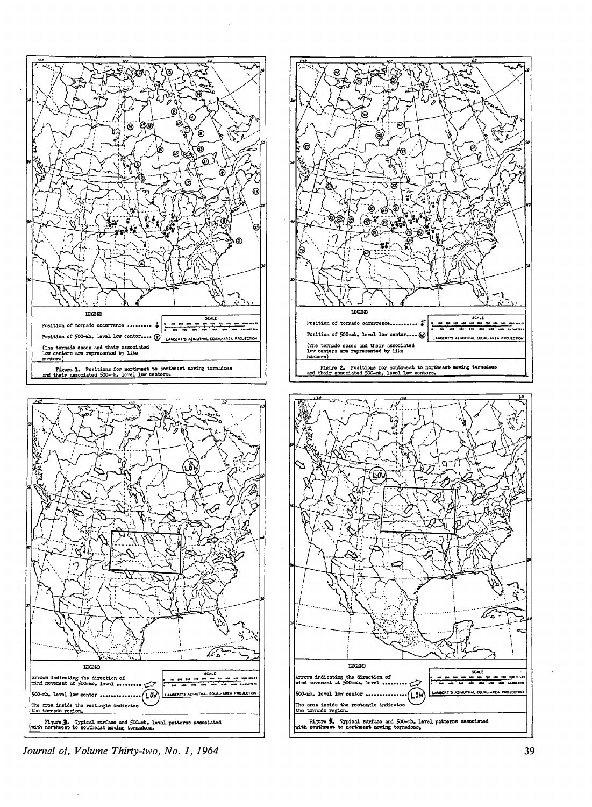









39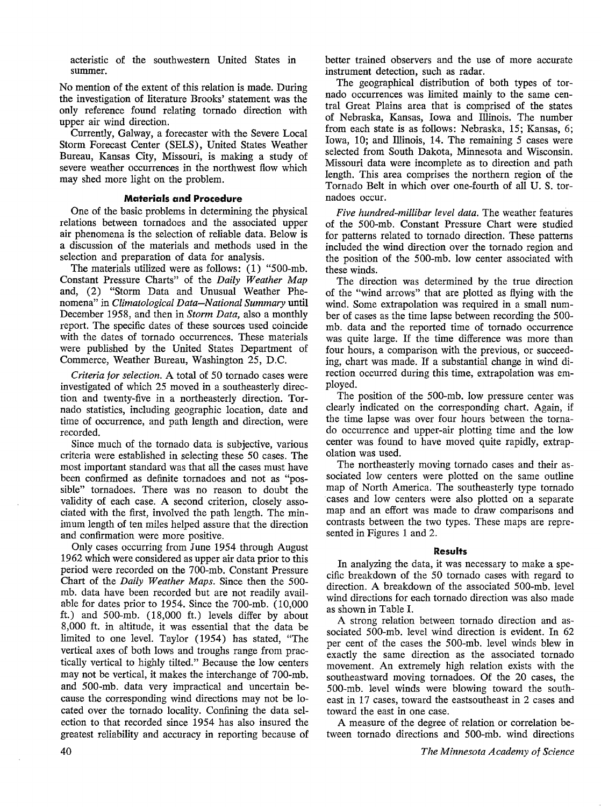acteristic of the southwestern United States in summer.

No mention of the extent of this relation is made. During the investigation of literature Brooks' statement was the only reference found relating tornado direction with upper air wind direction.

Currently, Galway, a forecaster with the Severe Local Storm Forecast Center (SELS), United States Weather Bureau, Kansas City, Missouri, is making a study of severe weather occurrences in the northwest flow which may shed more light on the problem.

### **Materials and Procedure**

One of the basic problems in determining the physical relations between tornadoes and the associated upper air phenomena is the selection of reliable data. Below is a discussion of the materials and methods used in the selection and preparation of data for analysis.

The materials utilized were as follows: (1) "500-mb. Constant Pressure Charts" of the *Daily Weather Map*  and, (2) "Storm Data and Unusual Weather Phenomena" in *Climatological Data-National Summary* **until**  December 1958, and then in *Storm Data,* also a monthly report. The specific dates of these sources used coincide with the dates of tornado occurrences. These materials were published by the United States Department of Commerce, Weather Bureau, Washington 25, D.C.

*Criteria for selection.* A total of 50 tornado cases were investigated of which 25 moved in a southeasterly direction and twenty-five in a northeasterly direction. Tornado statistics, including geographic location, date and time of occurrence, and path length and direction, were recorded.

Since much of the tornado data is subjective, various criteria were established in selecting these 50 cases. The most important standard was that all the cases must have been confirmed as definite tornadoes and not as "possible" tornadoes. There was no reason to doubt the validity of each case. A second criterion, closely associated with the first, involved the path length. The minimum length of ten miles helped assure that the direction and confirmation were more positive.

Only cases occurring from June 1954 through August 1962 which were considered as upper air data prior to this period were recorded on the 700-mb. Constant Pressure Chart of the *Daily Weather Maps.* Since then the 500 mb. data have been recorded but are not readily available for dates prior to 1954. Since the 700-mb. (10,000 ft.) and 500-mb. (18,000 ft.) levels differ by about 8,000 ft. in altitude, it was essential that the data be limited to one level. Taylor (1954) has stated, "The vertical axes of both lows and troughs range from practically vertical to highly tilted." Because the low centers may not be vertical, it makes the interchange of 700-mb. and 500-mb. data very impractical and uncertain because the corresponding wind directions may not be located over the tornado locality. Confining the data selection to that recorded since 1954 has also insured the greatest reliability and accuracy in reporting because of better trained observers and the use of more accurate instrument detection, such as radar.

The geographical distribution of both types of tornado occurrences was limited mainly to the same central Great Plains area that is comprised of the states of Nebraska, Kansas, Iowa and Illinois. The number from each state is as follows: Nebraska, 15; Kansas, 6; Iowa, 10; and Illinois, 14. The remaining 5 cases were selected from South Dakota, Minnesota and Wisconsin. Missouri data were incomplete as to direction and path length. This area comprises the northern region of the Tornado Belt in which over one-fourth of all U. S. tornadoes occur.

*Five hundred-millibar level data.* The weather features of the 500-mb. Constant Pressure Chart were studied for patterns related to tornado direction. These patterns included the wind direction over the tornado region and the position of the 500-mb. low center associated with these winds.

The direction was determined by the true direction of the "wind arrows" that are plotted as flying with the wind. Some extrapolation was required in a small number of cases as the time lapse between recording the 500 mb. data and the reported time of tornado occurrence was quite large. If the time difference was more than four hours, a comparison with the previous, or succeeding, chart was made. If a substantial change in wind direction occurred during this time, extrapolation was employed.

The position of the 500-mb. low pressure center was clearly indicated on the corresponding chart. Again, if the time lapse was over four hours between the tornado occurrence and upper-air plotting time and the low center was found to have moved quite rapidly, extrapolation was used.

The northeasterly moving tornado cases and their associated low centers were plotted on the same outline map of North America. The southeasterly type tornado cases and low centers were also plotted on a separate map and an effort was made to draw comparisons and contrasts between the two types. These maps are represented in Figures 1 and 2.

#### **Results**

In analyzing the data, it was necessary to make a specific breakdown of the 50 tornado cases with regard to direction. A breakdown of the associated 500-mb. level wind directions for each tornado direction was also made as shown in Table I.

**A** strong relation between tornado direction and associated 500-mb. level wind direction is evident. In 62 per cent of the cases the 500-mb. level winds blew in exactly the same direction as the associated tornado movement. An extremely high relation exists with the southeastward moving tornadoes. Of the 20 cases, the 500-mb. level winds were blowing toward the southeast in 17 cases, toward the eastsoutheast in 2 cases and toward the east in one case.

A measure of the degree of relation or correlation between tornado directions and 500-mb. wind directions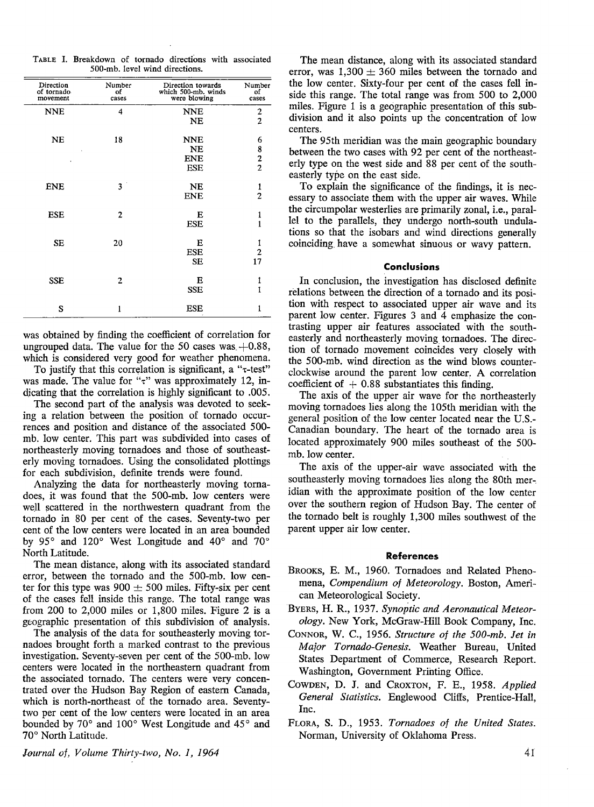|                                |  | TABLE I. Breakdown of tornado directions with associated |  |  |  |  |  |
|--------------------------------|--|----------------------------------------------------------|--|--|--|--|--|
| 500-mb, level wind directions. |  |                                                          |  |  |  |  |  |

| Direction<br>of tornado<br>movement | Number<br>оf<br>cases | Direction towards<br>which 500-mb. winds<br>were blowing | Number<br>of<br>cases                      |
|-------------------------------------|-----------------------|----------------------------------------------------------|--------------------------------------------|
| <b>NNE</b>                          | 4                     | <b>NNE</b>                                               | $\boldsymbol{2}$                           |
|                                     |                       | <b>NE</b>                                                | $\overline{c}$                             |
| NE                                  | 18                    | <b>NNE</b>                                               | 6                                          |
|                                     |                       | <b>NE</b>                                                |                                            |
|                                     |                       | <b>ENE</b>                                               | $\begin{array}{c} 8 \\ 2 \\ 2 \end{array}$ |
|                                     |                       | <b>ESE</b>                                               |                                            |
| <b>ENE</b>                          | $3^{\circ}$           | <b>NE</b>                                                | $\mathbf{1}$                               |
|                                     |                       | <b>ENE</b>                                               | $\overline{2}$                             |
| <b>ESE</b>                          | $\overline{2}$        | E                                                        | $\mathbf{1}$                               |
|                                     |                       | <b>ESE</b>                                               | $\mathbf{1}$                               |
| <b>SE</b>                           | 20                    | Е                                                        |                                            |
|                                     |                       | <b>ESE</b>                                               | $\frac{1}{2}$                              |
|                                     |                       | <b>SE</b>                                                | 17                                         |
| <b>SSE</b>                          | $\overline{2}$        | Е                                                        | 1                                          |
|                                     |                       | <b>SSE</b>                                               | $\mathbf{1}$                               |
| S                                   | $\mathbf{1}$          | <b>ESE</b>                                               | 1                                          |

was obtained by finding the coefficient of correlation for ungrouped data. The value for the 50 cases was  $+0.88$ , which is considered very good for weather phenomena.

To justify that this correlation is significant, a " $\tau$ -test" was made. The value for " $\tau$ " was approximately 12, indicating that the correlation is highly significant to .005.

The second part of the analysis was devoted to seeking a relation between the position of tornado occurrences and position and distance of the associated 500 mb. low center. This part was subdivided into cases of northeasterly moving tornadoes and those of southeasterly moving tornadoes. Using the consolidated plottings for each subdivision, definite trends were found.

Analyzing the data for northeasterly moving tornadoes, it was found that the 500-mb. low centers were well scattered in the northwestern quadrant from the tornado in 80 per cent of the cases. Seventy-two per cent of the low centers were located in an area bounded by 95° and 120° West Longitude and 40° and 70° North Latitude.

The mean distance, along with its associated standard error, between the tornado and the 500-mb. low center for this type was  $900 \pm 500$  miles. Fifty-six per cent of the cases fell inside this range. The total range was from 200 to 2,000 miles or 1,800 miles. Figure 2 is a geographic presentation of this subdivision of analysis.

The analysis of the data for southeasterly moving tornadoes brought forth a marked contrast to the previous investigation. Seventy-seven per cent of the 500-mb. low centers were located in the northeastern quadrant from the associated tornado. The centers were very concentrated over the Hudson Bay Region of eastern Canada, which is north-northeast of the tornado area. Seventytwo per cent of the low centers were located in an area bounded by 70° and 100° West Longitude and 45° and 70° North Latitude.

The mean distance, along with its associated standard error, was  $1,300 \pm 360$  miles between the tornado and the low center. Sixty-four per cent of the cases fell inside this range. The total range was from 500 to 2,000 miles. Figure 1 is a geographic presentation of this subdivision and it also points up the concentration of low centers.

The 95th meridian was the main geographic boundary between the two cases with 92 per cent of the northeasterly type on the west side and 88 per cent of the southeasterly type on the east side.

To explain the significance of the findings, it is necessary to associate them with the upper air waves. While the circumpolar westerlies are primarily zonal, i.e., parallel to the parallels, they undergo north-south undulations so that the isobars and wind directions generally coinciding have a somewhat sinuous or wavy pattern.

#### **Conclusions**

In conclusion, the investigation has disclosed definite relations between the direction of a tornado and its position with respect to associated upper air wave and its parent low center. Figures 3 and 4 emphasize the contrasting upper air features associated with the southeasterly and northeasterly moving tornadoes. The direction of tornado movement coincides very closely with the 500-mb. wind direction as the wind blows counterclockwise around the parent low center: A correlation coefficient of  $+$  0.88 substantiates this finding.

The axis of the upper air wave for the northeasterly moving tornadoes lies along the 105th meridian with the general position of the low center located near the U.S.- Canadian boundary. The heart of the tornado area is located approximately 900 miles southeast of the 500 mb. low center.

The axis of the upper-air wave associated with the southeasterly moving tornadoes lies along the 80th meridian with the approximate position of the low center over the southern region of Hudson Bay. The center of the tornado belt is roughly 1,300 miles southwest of the parent upper air low center.

#### **References**

- BROOKS, E. M., 1960. Tornadoes and Related Phenomena, *Compendium of Meteorology.* Boston, American Meteorological Society.
- BYERS, H. R., 1937. *Synoptic and Aeronautical Meteorology.* New York, McGraw-Hill Book Company, Inc.
- CONNOR, W. C., 1956. *Structure of the 500-mb. Jet in Major Tornado-Genesis.* Weather Bureau, United States Department of Commerce, Research Report. Washington, Government Printing Office.
- COWDEN, D. J. and CROXTON, F. E., 1958. *Applied General Statistics.* Englewood Cliffs, Prentice-Hall, Inc.
- FLORA, S. D., 1953. *Tornadoes of the United States.*  Norman, University of Oklahoma Press.

*Journal of, Volume Thirty-two, No. 1, 1964*